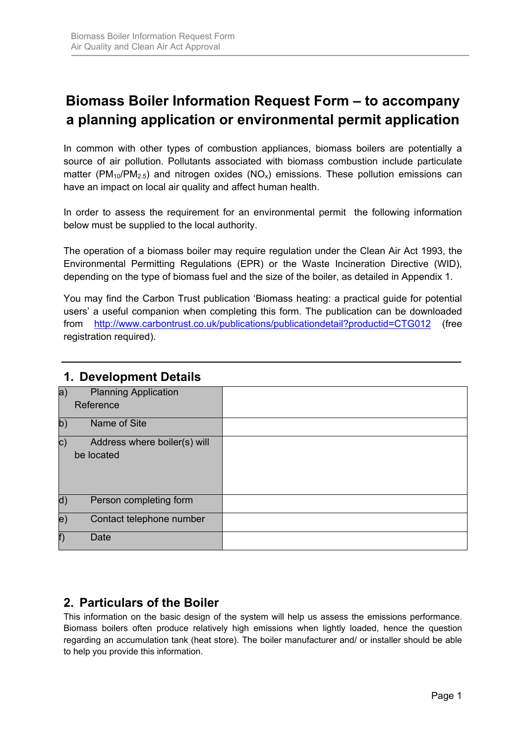# **Biomass Boiler Information Request Form – to accompany a planning application or environmental permit application**

In common with other types of combustion appliances, biomass boilers are potentially a source of air pollution. Pollutants associated with biomass combustion include particulate matter (PM<sub>10</sub>/PM<sub>2.5</sub>) and nitrogen oxides (NO<sub>x</sub>) emissions. These pollution emissions can have an impact on local air quality and affect human health.

In order to assess the requirement for an environmental permit the following information below must be supplied to the local authority.

The operation of a biomass boiler may require regulation under the Clean Air Act 1993, the Environmental Permitting Regulations (EPR) or the Waste Incineration Directive (WID), depending on the type of biomass fuel and the size of the boiler, as detailed in Appendix 1.

You may find the Carbon Trust publication 'Biomass heating: a practical guide for potential users' a useful companion when completing this form. The publication can be downloaded from http://www.carbontrust.co.uk/publications/publicationdetail?productid=CTG012 (free registration required).

| a)            | <b>Planning Application</b>  |  |
|---------------|------------------------------|--|
|               | Reference                    |  |
| $ b\rangle$   | Name of Site                 |  |
| $\mathbf{C})$ | Address where boiler(s) will |  |
|               | be located                   |  |
| d)            | Person completing form       |  |
| e.            | Contact telephone number     |  |
| f)            | Date                         |  |

### **1. Development Details**

## **2. Particulars of the Boiler**

This information on the basic design of the system will help us assess the emissions performance. Biomass boilers often produce relatively high emissions when lightly loaded, hence the question regarding an accumulation tank (heat store). The boiler manufacturer and/ or installer should be able to help you provide this information.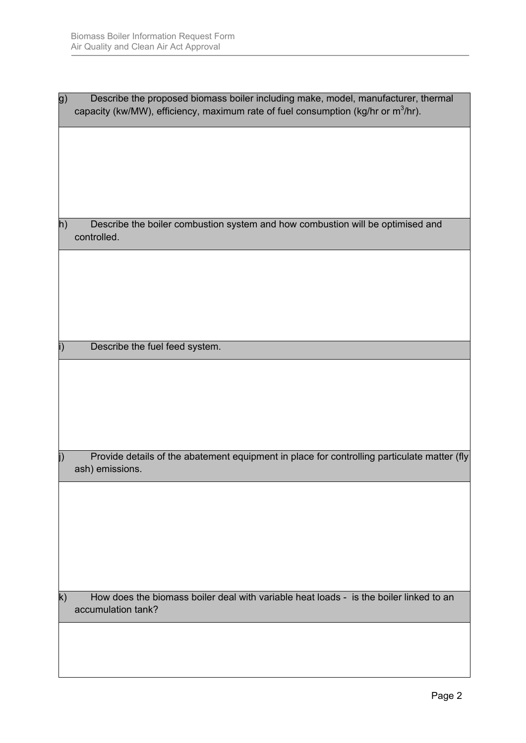| g)           | Describe the proposed biomass boiler including make, model, manufacturer, thermal<br>capacity (kw/MW), efficiency, maximum rate of fuel consumption (kg/hr or m <sup>3</sup> /hr). |
|--------------|------------------------------------------------------------------------------------------------------------------------------------------------------------------------------------|
|              |                                                                                                                                                                                    |
|              |                                                                                                                                                                                    |
|              |                                                                                                                                                                                    |
| h)           | Describe the boiler combustion system and how combustion will be optimised and<br>controlled.                                                                                      |
|              |                                                                                                                                                                                    |
|              |                                                                                                                                                                                    |
|              |                                                                                                                                                                                    |
|              | Describe the fuel feed system.                                                                                                                                                     |
|              |                                                                                                                                                                                    |
|              |                                                                                                                                                                                    |
|              |                                                                                                                                                                                    |
| j)           | Provide details of the abatement equipment in place for controlling particulate matter (fly<br>ash) emissions.                                                                     |
|              |                                                                                                                                                                                    |
|              |                                                                                                                                                                                    |
|              |                                                                                                                                                                                    |
|              |                                                                                                                                                                                    |
| $\mathsf{k}$ | How does the biomass boiler deal with variable heat loads - is the boiler linked to an<br>accumulation tank?                                                                       |
|              |                                                                                                                                                                                    |
|              |                                                                                                                                                                                    |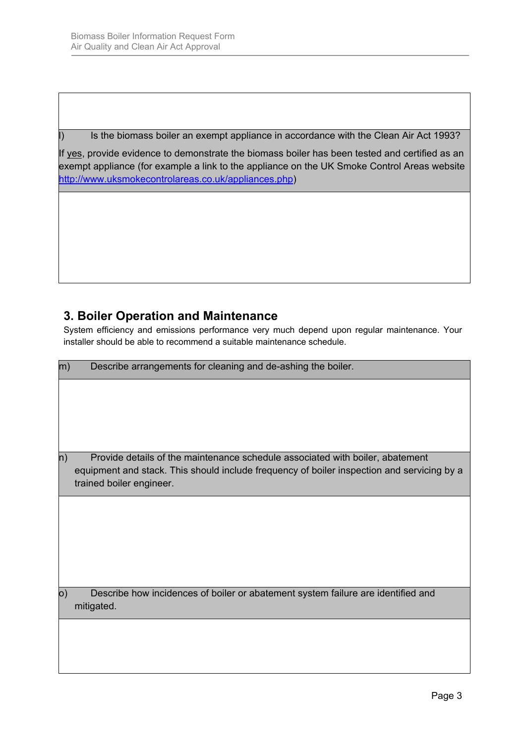I) Is the biomass boiler an exempt appliance in accordance with the Clean Air Act 1993?

If yes, provide evidence to demonstrate the biomass boiler has been tested and certified as an exempt appliance (for example a link to the appliance on the UK Smoke Control Areas website http://www.uksmokecontrolareas.co.uk/appliances.php)

## **3. Boiler Operation and Maintenance**

System efficiency and emissions performance very much depend upon regular maintenance. Your installer should be able to recommend a suitable maintenance schedule.

| m) | Describe arrangements for cleaning and de-ashing the boiler.                                                                                                                                            |  |  |  |  |
|----|---------------------------------------------------------------------------------------------------------------------------------------------------------------------------------------------------------|--|--|--|--|
|    |                                                                                                                                                                                                         |  |  |  |  |
| n) | Provide details of the maintenance schedule associated with boiler, abatement<br>equipment and stack. This should include frequency of boiler inspection and servicing by a<br>trained boiler engineer. |  |  |  |  |
|    |                                                                                                                                                                                                         |  |  |  |  |
| 0) | Describe how incidences of boiler or abatement system failure are identified and<br>mitigated.                                                                                                          |  |  |  |  |
|    |                                                                                                                                                                                                         |  |  |  |  |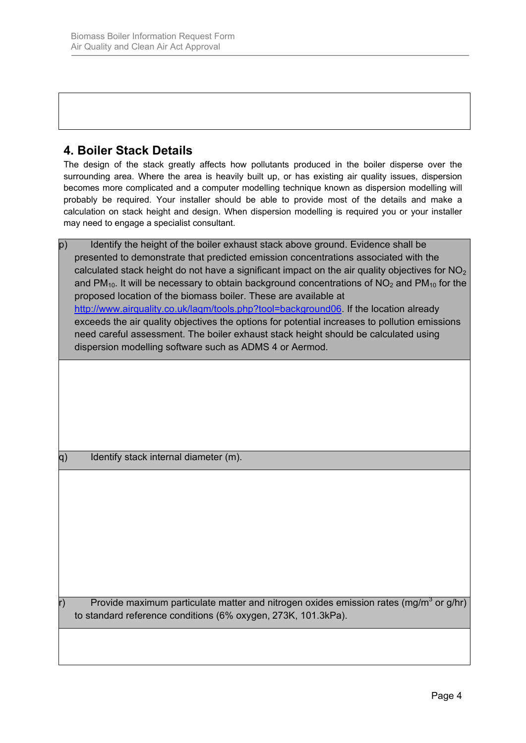## **4. Boiler Stack Details**

The design of the stack greatly affects how pollutants produced in the boiler disperse over the surrounding area. Where the area is heavily built up, or has existing air quality issues, dispersion becomes more complicated and a computer modelling technique known as dispersion modelling will probably be required. Your installer should be able to provide most of the details and make a calculation on stack height and design. When dispersion modelling is required you or your installer may need to engage a specialist consultant.

p) Identify the height of the boiler exhaust stack above ground. Evidence shall be presented to demonstrate that predicted emission concentrations associated with the calculated stack height do not have a significant impact on the air quality objectives for  $NO<sub>2</sub>$ and PM<sub>10</sub>. It will be necessary to obtain background concentrations of  $NO<sub>2</sub>$  and PM<sub>10</sub> for the proposed location of the biomass boiler. These are available at http://www.airquality.co.uk/laqm/tools.php?tool=background06. If the location already exceeds the air quality objectives the options for potential increases to pollution emissions need careful assessment. The boiler exhaust stack height should be calculated using dispersion modelling software such as ADMS 4 or Aermod*.*

q) Identify stack internal diameter (m).

r) Provide maximum particulate matter and nitrogen oxides emission rates (mg/m<sup>3</sup> or g/hr) to standard reference conditions (6% oxygen, 273K, 101.3kPa).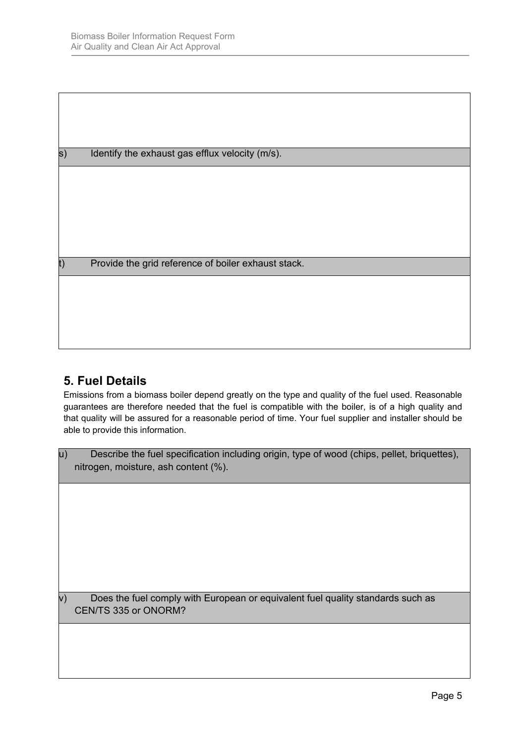s) Identify the exhaust gas efflux velocity (m/s).

t) Provide the grid reference of boiler exhaust stack.

## **5. Fuel Details**

Emissions from a biomass boiler depend greatly on the type and quality of the fuel used. Reasonable guarantees are therefore needed that the fuel is compatible with the boiler, is of a high quality and that quality will be assured for a reasonable period of time. Your fuel supplier and installer should be able to provide this information.

| Describe the fuel specification including origin, type of wood (chips, pellet, briquettes), |
|---------------------------------------------------------------------------------------------|
| nitrogen, moisture, ash content (%).                                                        |

 $v$ ) Does the fuel comply with European or equivalent fuel quality standards such as CEN/TS 335 or ONORM?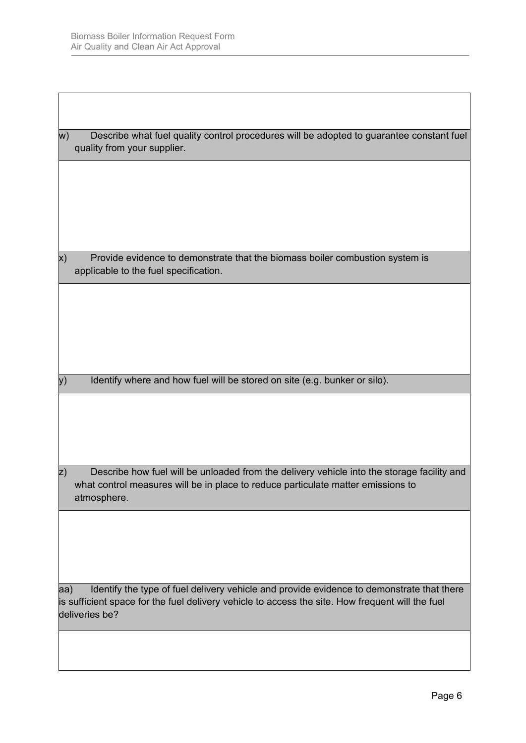$\overline{1}$ 

| W)            | Describe what fuel quality control procedures will be adopted to guarantee constant fuel<br>quality from your supplier.                                                                                         |
|---------------|-----------------------------------------------------------------------------------------------------------------------------------------------------------------------------------------------------------------|
|               |                                                                                                                                                                                                                 |
|               |                                                                                                                                                                                                                 |
|               |                                                                                                                                                                                                                 |
| X)            | Provide evidence to demonstrate that the biomass boiler combustion system is<br>applicable to the fuel specification.                                                                                           |
|               |                                                                                                                                                                                                                 |
|               |                                                                                                                                                                                                                 |
|               |                                                                                                                                                                                                                 |
| y)            | Identify where and how fuel will be stored on site (e.g. bunker or silo).                                                                                                                                       |
|               |                                                                                                                                                                                                                 |
|               |                                                                                                                                                                                                                 |
|               |                                                                                                                                                                                                                 |
| $\mathsf{z})$ | Describe how fuel will be unloaded from the delivery vehicle into the storage facility and<br>what control measures will be in place to reduce particulate matter emissions to<br>atmosphere.                   |
|               |                                                                                                                                                                                                                 |
|               |                                                                                                                                                                                                                 |
|               |                                                                                                                                                                                                                 |
| aa)           | Identify the type of fuel delivery vehicle and provide evidence to demonstrate that there<br>is sufficient space for the fuel delivery vehicle to access the site. How frequent will the fuel<br>deliveries be? |
|               |                                                                                                                                                                                                                 |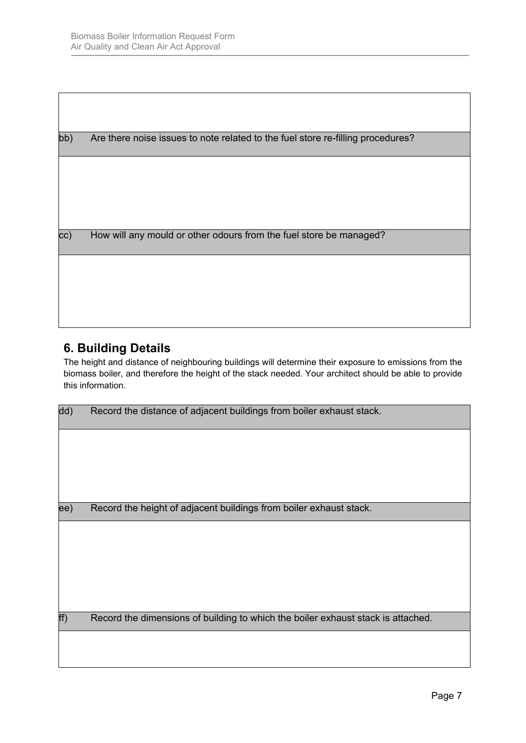| bb) | Are there noise issues to note related to the fuel store re-filling procedures? |
|-----|---------------------------------------------------------------------------------|
|     |                                                                                 |
|     |                                                                                 |
|     |                                                                                 |
| cc) | How will any mould or other odours from the fuel store be managed?              |
|     |                                                                                 |
|     |                                                                                 |
|     |                                                                                 |

## **6. Building Details**

The height and distance of neighbouring buildings will determine their exposure to emissions from the biomass boiler, and therefore the height of the stack needed. Your architect should be able to provide this information.

| dd) | Record the distance of adjacent buildings from boiler exhaust stack.             |  |
|-----|----------------------------------------------------------------------------------|--|
|     |                                                                                  |  |
|     |                                                                                  |  |
|     |                                                                                  |  |
| ee) | Record the height of adjacent buildings from boiler exhaust stack.               |  |
|     |                                                                                  |  |
|     |                                                                                  |  |
|     |                                                                                  |  |
|     |                                                                                  |  |
|     |                                                                                  |  |
| ff) | Record the dimensions of building to which the boiler exhaust stack is attached. |  |
|     |                                                                                  |  |
|     |                                                                                  |  |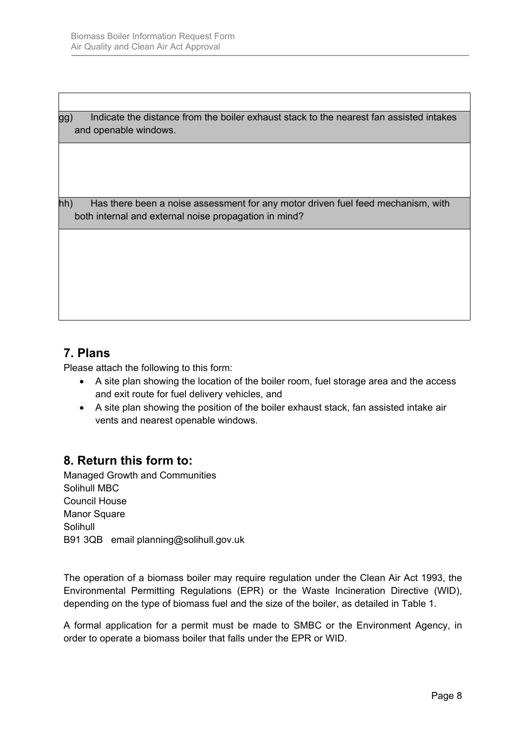gg) Indicate the distance from the boiler exhaust stack to the nearest fan assisted intakes and openable windows.

hh) Has there been a noise assessment for any motor driven fuel feed mechanism, with both internal and external noise propagation in mind?

## **7. Plans**

Please attach the following to this form:

- A site plan showing the location of the boiler room, fuel storage area and the access and exit route for fuel delivery vehicles, and
- A site plan showing the position of the boiler exhaust stack, fan assisted intake air vents and nearest openable windows.

## **8. Return this form to:**

Managed Growth and Communities Solihull MBC Council House Manor Square Solihull B91 3QB email planning@solihull.gov.uk

The operation of a biomass boiler may require regulation under the Clean Air Act 1993, the Environmental Permitting Regulations (EPR) or the Waste Incineration Directive (WID), depending on the type of biomass fuel and the size of the boiler, as detailed in Table 1.

A formal application for a permit must be made to SMBC or the Environment Agency, in order to operate a biomass boiler that falls under the EPR or WID.